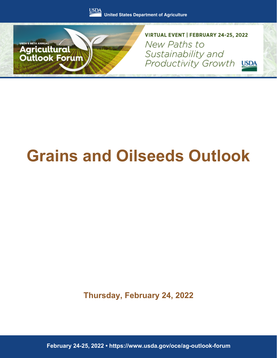



VIRTUAL EVENT | FEBRUARY 24-25, 2022 New Paths to Sustainability and Productivity Growth USDA

# **Grains and Oilseeds Outlook**

**Thursday, February 24, 2022**

**February 24-25, 2022 • https://www.usda.gov/oce/ag-outlook-forum**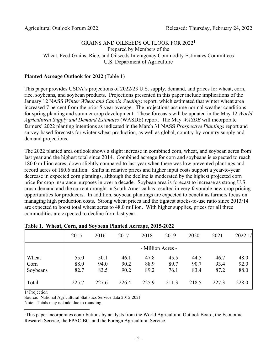## GRAINS AND OILSEEDS OUTLOOK FOR 2022[1](#page-1-0) Prepared by Members of the Wheat, Feed Grains, Rice, and Oilseeds Interagency Commodity Estimates Committees U.S. Department of Agriculture

## **Planted Acreage Outlook for 2022** (Table 1)

This paper provides USDA's projections of 2022/23 U.S. supply, demand, and prices for wheat, corn, rice, soybeans, and soybean products. Projections presented in this paper include implications of the January 12 NASS *Winter Wheat and Canola Seedings* report, which estimated that winter wheat area increased 7 percent from the prior 5-year average. The projections assume normal weather conditions for spring planting and summer crop development. These forecasts will be updated in the May 12 *World Agricultural Supply and Demand Estimates* (WASDE) report. The May *WASDE* will incorporate farmers' 2022 planting intentions as indicated in the March 31 NASS *Prospective Plantings* report and survey-based forecasts for winter wheat production, as well as global, country-by-country supply and demand projections.

The 2022 planted area outlook shows a slight increase in combined corn, wheat, and soybean acres from last year and the highest total since 2014. Combined acreage for corn and soybeans is expected to reach 180.0 million acres, down slightly compared to last year when there was low prevented plantings and record acres of 180.6 million. Shifts in relative prices and higher input costs support a year-to-year decrease in expected corn plantings, although the decline is moderated by the highest projected corn price for crop insurance purposes in over a decade. Soybean area is forecast to increase as strong U.S. crush demand and the current drought in South America has resulted in very favorable new-crop pricing opportunities for producers. In addition, soybean plantings are expected to benefit as farmers focus on managing high production costs. Strong wheat prices and the tightest stocks-to-use ratio since 2013/14 are expected to boost total wheat acres to 48.0 million. With higher supplies, prices for all three commodities are expected to decline from last year.

|          | 2015  | 2016  | 2017  | 2018              | 2019  | 2020  | 2021  | 20221/ |
|----------|-------|-------|-------|-------------------|-------|-------|-------|--------|
|          |       |       |       | - Million Acres - |       |       |       |        |
| Wheat    | 55.0  | 50.1  | 46.1  | 47.8              | 45.5  | 44.5  | 46.7  | 48.0   |
| Corn     | 88.0  | 94.0  | 90.2  | 88.9              | 89.7  | 90.7  | 93.4  | 92.0   |
| Soybeans | 82.7  | 83.5  | 90.2  | 89.2              | 76.1  | 83.4  | 87.2  | 88.0   |
| Total    | 225.7 | 227.6 | 226.4 | 225.9             | 211.3 | 218.5 | 227.3 | 228.0  |

## **Table 1. Wheat, Corn, and Soybean Planted Acreage, 2015-2022**

1/ Projection

Source: National Agricultural Statistics Service data 2015-2021

Note: Totals may not add due to rounding.

<span id="page-1-0"></span>1 This paper incorporates contributions by analysts from the World Agricultural Outlook Board, the Economic Research Service, the FPAC-BC, and the Foreign Agricultural Service.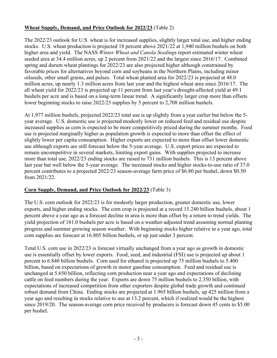# **Wheat Supply, Demand, and Price Outlook for 2022/23** (Table 2)

The 2022/23 outlook for U.S. wheat is for increased supplies, slightly larger total use, and higher ending stocks. U.S. wheat production is projected 18 percent above 2021/22 at 1,940 million bushels on both higher area and yield. The NASS *Winter Wheat and Canola Seeding*s report estimated winter wheat seeded area at 34.4 million acres, up 2 percent from 2021/22 and the largest since 2016/17. Combined spring and durum wheat plantings for 2022/23 are also projected higher although constrained by favorable prices for alternatives beyond corn and soybeans in the Northern Plains, including minor oilseeds, other small grains, and pulses. Total wheat planted area for 2022/23 is projected at 48.0 million acres, up nearly 1.3 million acres from last year and the highest wheat area since 2016/17. The all wheat yield for 2022/23 is projected up 11 percent from last year's drought-affected yield at 49.1 bushels per acre and is based on a long-term linear trend. A significantly larger crop more than offsets lower beginning stocks to raise 2022/23 supplies by 5 percent to 2,708 million bushels.

At 1,977 million bushels, projected 2022/23 total use is up slightly from a year earlier but below the 5 year average. U.S. domestic use is projected modestly lower on reduced feed and residual use despite increased supplies as corn is expected to be more competitively priced during the summer months. Food use is projected marginally higher as population growth is expected to more than offset the effect of slightly lower per capita consumption. Higher exports are expected to more than offset lower domestic use although exports are still forecast below the 5-year average. U.S. export prices are expected to remain uncompetitive in several markets, limiting export gains. With supplies projected to increase more than total use, 2022/23 ending stocks are raised to 731 million bushels. This is 13 percent above last year but well below the 5-year average. The increased stocks and higher stocks-to-use ratio of 37.0 percent contributes to a projected 2022/23 season-average farm price of \$6.80 per bushel, down \$0.50 from 2021/22.

# **Corn Supply, Demand, and Price Outlook for 2022/23** (Table 3)

The U.S. corn outlook for 2022/23 is for modestly larger production, greater domestic use, lower exports, and higher ending stocks. The corn crop is projected at a record 15.240 billion bushels, about 1 percent above a year ago as a forecast decline in area is more than offset by a return to trend yields. The yield projection of 181.0 bushels per acre is based on a weather-adjusted trend assuming normal planting progress and summer growing season weather. With beginning stocks higher relative to a year ago, total corn supplies are forecast at 16.805 billion bushels, or up just under 3 percent.

Total U.S. corn use in 2022/23 is forecast virtually unchanged from a year ago as growth in domestic use is essentially offset by lower exports. Food, seed, and industrial (FSI) use is projected up about 1 percent to 6.840 billion bushels. Corn used for ethanol is projected up 75 million bushels to 5.400 billion, based on expectations of growth in motor gasoline consumption. Feed and residual use is unchanged at 5.650 billion, reflecting corn production near a year ago and expectations of declining cattle on feed numbers during the year. Exports are down 75 million bushels to 2.350 billion, with expectations of increased competition from other exporters despite global trade growth and continued robust demand from China. Ending stocks are projected at 1.965 billion bushels, up 425 million from a year ago and resulting in stocks relative to use at 13.2 percent, which if realized would be the highest since 2019/20. The season-average corn price received by producers is forecast down 45 cents to \$5.00 per bushel.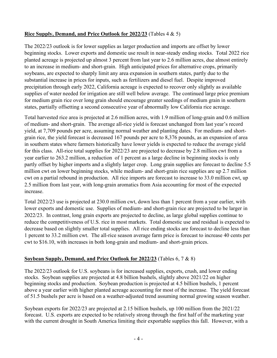# **Rice Supply, Demand, and Price Outlook for 2022/23** (Tables 4 & 5)

The 2022/23 outlook is for lower supplies as larger production and imports are offset by lower beginning stocks. Lower exports and domestic use result in near-steady ending stocks. Total 2022 rice planted acreage is projected up almost 3 percent from last year to 2.6 million acres, due almost entirely to an increase in medium- and short-grain. High anticipated prices for alternative crops, primarily soybeans, are expected to sharply limit any area expansion in southern states, partly due to the substantial increase in prices for inputs, such as fertilizers and diesel fuel. Despite improved precipitation through early 2022, California acreage is expected to recover only slightly as available supplies of water needed for irrigation are still well below average. The continued large price premium for medium grain rice over long grain should encourage greater seedings of medium grain in southern states, partially offsetting a second consecutive year of abnormally low California rice acreage.

Total harvested rice area is projected at 2.6 million acres, with 1.9 million of long-grain and 0.6 million of medium- and short-grain. The average all-rice yield is forecast unchanged from last year's record yield, at 7,709 pounds per acre, assuming normal weather and planting dates. For medium- and shortgrain rice, the yield forecast is decreased 167 pounds per acre to 8,376 pounds, as an expansion of area in southern states where farmers historically have lower yields is expected to reduce the average yield for this class. All-rice total supplies for 2022/23 are projected to decrease by 2.8 million cwt from a year earlier to 263.2 million, a reduction of 1 percent as a large decline in beginning stocks is only partly offset by higher imports and a slightly larger crop. Long grain supplies are forecast to decline 5.5 million cwt on lower beginning stocks, while medium- and short-grain rice supplies are up 2.7 million cwt on a partial rebound in production. All rice imports are forecast to increase to 33.0 million cwt, up 2.5 million from last year, with long-grain aromatics from Asia accounting for most of the expected increase.

Total 2022/23 use is projected at 230.0 million cwt, down less than 1 percent from a year earlier, with lower exports and domestic use. Supplies of medium- and short-grain rice are projected to be larger in 2022/23. In contrast, long grain exports are projected to decline, as large global supplies continue to reduce the competitiveness of U.S. rice in most markets. Total domestic use and residual is expected to decrease based on slightly smaller total supplies. All rice ending stocks are forecast to decline less than 1 percent to 33.2 million cwt. The all-rice season average farm price is forecast to increase 40 cents per cwt to \$16.10, with increases in both long-grain and medium- and short-grain prices.

## **Soybean Supply, Demand, and Price Outlook for 2022/23** (Tables 6, 7 & 8)

The 2022/23 outlook for U.S. soybeans is for increased supplies, exports, crush, and lower ending stocks. Soybean supplies are projected at 4.8 billion bushels, slightly above 2021/22 on higher beginning stocks and production. Soybean production is projected at 4.5 billion bushels, 1 percent above a year earlier with higher planted acreage accounting for most of the increase. The yield forecast of 51.5 bushels per acre is based on a weather-adjusted trend assuming normal growing season weather.

Soybean exports for 2022/23 are projected at 2.15 billion bushels, up 100 million from the 2021/22 forecast. U.S. exports are expected to be relatively strong through the first half of the marketing year with the current drought in South America limiting their exportable supplies this fall. However, with a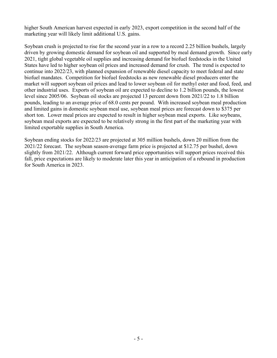higher South American harvest expected in early 2023, export competition in the second half of the marketing year will likely limit additional U.S. gains.

Soybean crush is projected to rise for the second year in a row to a record 2.25 billion bushels, largely driven by growing domestic demand for soybean oil and supported by meal demand growth. Since early 2021, tight global vegetable oil supplies and increasing demand for biofuel feedstocks in the United States have led to higher soybean oil prices and increased demand for crush. The trend is expected to continue into 2022/23, with planned expansion of renewable diesel capacity to meet federal and state biofuel mandates. Competition for biofuel feedstocks as new renewable diesel producers enter the market will support soybean oil prices and lead to lower soybean oil for methyl ester and food, feed, and other industrial uses. Exports of soybean oil are expected to decline to 1.2 billion pounds, the lowest level since 2005/06. Soybean oil stocks are projected 13 percent down from 2021/22 to 1.8 billion pounds, leading to an average price of 68.0 cents per pound. With increased soybean meal production and limited gains in domestic soybean meal use, soybean meal prices are forecast down to \$375 per short ton. Lower meal prices are expected to result in higher soybean meal exports. Like soybeans, soybean meal exports are expected to be relatively strong in the first part of the marketing year with limited exportable supplies in South America.

Soybean ending stocks for 2022/23 are projected at 305 million bushels, down 20 million from the 2021/22 forecast. The soybean season-average farm price is projected at \$12.75 per bushel, down slightly from 2021/22. Although current forward price opportunities will support prices received this fall, price expectations are likely to moderate later this year in anticipation of a rebound in production for South America in 2023.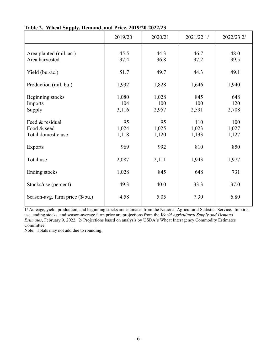|                                                      | 2019/20               | 2020/21               | 2021/22 1/            | 2022/23 2/            |
|------------------------------------------------------|-----------------------|-----------------------|-----------------------|-----------------------|
| Area planted (mil. ac.)<br>Area harvested            | 45.5<br>37.4          | 44.3<br>36.8          | 46.7<br>37.2          | 48.0<br>39.5          |
| Yield (bu./ac.)                                      | 51.7                  | 49.7                  | 44.3                  | 49.1                  |
| Production (mil. bu.)                                | 1,932                 | 1,828                 | 1,646                 | 1,940                 |
| Beginning stocks<br>Imports<br>Supply                | 1,080<br>104<br>3,116 | 1,028<br>100<br>2,957 | 845<br>100<br>2,591   | 648<br>120<br>2,708   |
| Feed & residual<br>Food & seed<br>Total domestic use | 95<br>1,024<br>1,118  | 95<br>1,025<br>1,120  | 110<br>1,023<br>1,133 | 100<br>1,027<br>1,127 |
| <b>Exports</b>                                       | 969                   | 992                   | 810                   | 850                   |
| Total use                                            | 2,087                 | 2,111                 | 1,943                 | 1,977                 |
| Ending stocks                                        | 1,028                 | 845                   | 648                   | 731                   |
| Stocks/use (percent)                                 | 49.3                  | 40.0                  | 33.3                  | 37.0                  |
| Season-avg. farm price (\$/bu.)                      | 4.58                  | 5.05                  | 7.30                  | 6.80                  |

**Table 2. Wheat Supply, Demand, and Price, 2019/20-2022/23**

1/ Acreage, yield, production, and beginning stocks are estimates from the National Agricultural Statistics Service. Imports, use, ending stocks, and season-average farm price are projections from the *World Agricultural Supply and Demand Estimates*, February 9, 2022. 2/ Projections based on analysis by USDA's Wheat Interagency Commodity Estimates Committee.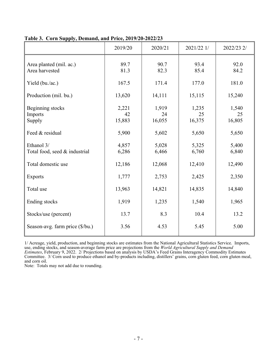|                                             | 2019/20               | 2020/21               | 2021/22 1/            | 2022/23 2/            |
|---------------------------------------------|-----------------------|-----------------------|-----------------------|-----------------------|
| Area planted (mil. ac.)<br>Area harvested   | 89.7<br>81.3          | 90.7<br>82.3          | 93.4<br>85.4          | 92.0<br>84.2          |
| Yield (bu./ac.)                             | 167.5                 | 171.4                 | 177.0                 | 181.0                 |
| Production (mil. bu.)                       | 13,620                | 14,111                | 15,115                | 15,240                |
| Beginning stocks<br>Imports<br>Supply       | 2,221<br>42<br>15,883 | 1,919<br>24<br>16,055 | 1,235<br>25<br>16,375 | 1,540<br>25<br>16,805 |
| Feed & residual                             | 5,900                 | 5,602                 | 5,650                 | 5,650                 |
| Ethanol 3/<br>Total food, seed & industrial | 4,857<br>6,286        | 5,028<br>6,466        | 5,325<br>6,760        | 5,400<br>6,840        |
| Total domestic use                          | 12,186                | 12,068                | 12,410                | 12,490                |
| <b>Exports</b>                              | 1,777                 | 2,753                 | 2,425                 | 2,350                 |
| Total use                                   | 13,963                | 14,821                | 14,835                | 14,840                |
| Ending stocks                               | 1,919                 | 1,235                 | 1,540                 | 1,965                 |
| Stocks/use (percent)                        | 13.7                  | 8.3                   | 10.4                  | 13.2                  |
| Season-avg. farm price (\$/bu.)             | 3.56                  | 4.53                  | 5.45                  | 5.00                  |

#### **Table 3. Corn Supply, Demand, and Price, 2019/20-2022/23**

1/ Acreage, yield, production, and beginning stocks are estimates from the National Agricultural Statistics Service. Imports, use, ending stocks, and season-average farm price are projections from the *World Agricultural Supply and Demand Estimates*, February 9, 2022. 2/ Projections based on analysis by USDA's Feed Grains Interagency Commodity Estimates Committee. 3/ Corn used to produce ethanol and by-products including, distillers' grains, corn gluten feed, corn gluten meal, and corn oil.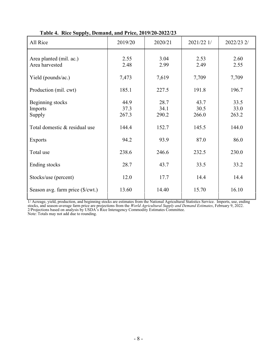| All Rice                                  | 2019/20               | 2020/21               | 2021/22 1/            | 2022/23 2/            |
|-------------------------------------------|-----------------------|-----------------------|-----------------------|-----------------------|
| Area planted (mil. ac.)<br>Area harvested | 2.55<br>2.48          | 3.04<br>2.99          | 2.53<br>2.49          | 2.60<br>2.55          |
| Yield (pounds/ac.)                        | 7,473                 | 7,619                 | 7,709                 | 7,709                 |
| Production (mil. cwt)                     | 185.1                 | 227.5                 | 191.8                 | 196.7                 |
| Beginning stocks<br>Imports<br>Supply     | 44.9<br>37.3<br>267.3 | 28.7<br>34.1<br>290.2 | 43.7<br>30.5<br>266.0 | 33.5<br>33.0<br>263.2 |
| Total domestic & residual use             | 144.4                 | 152.7                 | 145.5                 | 144.0                 |
| <b>Exports</b>                            | 94.2                  | 93.9                  | 87.0                  | 86.0                  |
| Total use                                 | 238.6                 | 246.6                 | 232.5                 | 230.0                 |
| Ending stocks                             | 28.7                  | 43.7                  | 33.5                  | 33.2                  |
| Stocks/use (percent)                      | 12.0                  | 17.7                  | 14.4                  | 14.4                  |
| Season avg. farm price (\$/cwt.)          | 13.60                 | 14.40                 | 15.70                 | 16.10                 |

 **Table 4. Rice Supply, Demand, and Price, 2019/20-2022/23**

1/ Acreage, yield, production, and beginning stocks are estimates from the National Agricultural Statistics Service. Imports, use, ending stocks, and season-average farm price are projections from the *World Agricultural Supply and Demand Estimates*, February 9, 2022. 2/Projections based on analysis by USDA's Rice Interagency Commodity Estimates Committee. Note: Totals may not add due to rounding.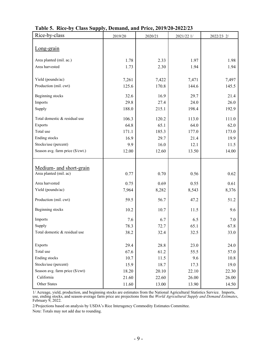| Rice-by-class                    | 2019/20 | 2020/21 | 2021/22 1/ | 2022/23 2/ |
|----------------------------------|---------|---------|------------|------------|
|                                  |         |         |            |            |
| Long-grain                       |         |         |            |            |
| Area planted (mil. ac.)          | 1.78    | 2.33    | 1.97       | 1.98       |
| Area harvested                   | 1.73    | 2.30    | 1.94       | 1.94       |
|                                  |         |         |            |            |
| Yield (pounds/ac)                | 7,261   | 7,422   | 7,471      | 7,497      |
| Production (mil. cwt)            | 125.6   | 170.8   | 144.6      | 145.5      |
| Beginning stocks                 | 32.6    | 16.9    | 29.7       | 21.4       |
| Imports                          | 29.8    | 27.4    | 24.0       | 26.0       |
| Supply                           | 188.0   | 215.1   | 198.4      | 192.9      |
| Total domestic & residual use    | 106.3   | 120.2   | 113.0      | 111.0      |
| Exports                          | 64.8    | 65.1    | 64.0       | 62.0       |
| Total use                        | 171.1   | 185.3   | 177.0      | 173.0      |
| Ending stocks                    | 16.9    | 29.7    | 21.4       | 19.9       |
| Stocks/use (percent)             | 9.9     | 16.0    | 12.1       | 11.5       |
| Season avg. farm price (\$/cwt.) | 12.00   | 12.60   | 13.50      | 14.00      |
|                                  |         |         |            |            |
| Medium- and short-grain          |         |         |            |            |
| Area planted (mil. ac)           | 0.77    | 0.70    | 0.56       | 0.62       |
| Area harvested                   | 0.75    | 0.69    | 0.55       | 0.61       |
| Yield (pounds/ac)                | 7,964   | 8,282   | 8,543      | 8,376      |
|                                  |         |         |            |            |
| Production (mil. cwt)            | 59.5    | 56.7    | 47.2       | 51.2       |
| Beginning stocks                 | 10.2    | 10.7    | 11.5       | 9.6        |
| Imports                          | 7.6     | 6.7     | 6.5        | 7.0        |
| Supply                           | 78.3    | 72.7    | 65.1       | 67.8       |
| Total domestic & residual use    | 38.2    | 32.4    | 32.5       | 33.0       |
|                                  |         |         |            |            |
| Exports                          | 29.4    | 28.8    | 23.0       | 24.0       |
| Total use                        | 67.6    | 61.2    | 55.5       | 57.0       |
| Ending stocks                    | 10.7    | 11.5    | 9.6        | 10.8       |
| Stocks/use (percent)             | 15.9    | 18.7    | 17.3       | 19.0       |
| Season avg. farm price (\$/cwt)  | 18.20   | 20.10   | 22.10      | 22.30      |
| California                       | 21.60   | 22.60   | 26.00      | 26.00      |
| Other States                     | 11.60   | 13.00   | 13.90      | 14.50      |

|  |  |  | Table 5. Rice-by Class Supply, Demand, and Price, 2019/20-2022/23 |
|--|--|--|-------------------------------------------------------------------|
|  |  |  |                                                                   |

1/ Acreage, yield, production, and beginning stocks are estimates from the National Agricultural Statistics Service. Imports, use, ending stocks, and season-average farm price are projections from the *World Agricultural Supply and Demand Estimates*, February 9, 2022.

2/Projections based on analysis by USDA's Rice Interagency Commodity Estimates Committee.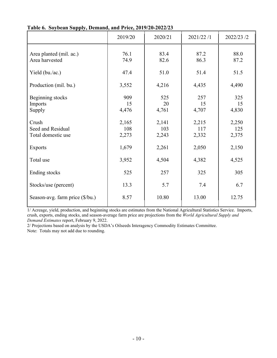|                                                  | 2019/20               | 2020/21               | 2021/22 /1            | 2022/23/2             |
|--------------------------------------------------|-----------------------|-----------------------|-----------------------|-----------------------|
| Area planted (mil. ac.)<br>Area harvested        | 76.1<br>74.9          | 83.4<br>82.6          | 87.2<br>86.3          | 88.0<br>87.2          |
| Yield (bu./ac.)                                  | 47.4                  | 51.0                  | 51.4                  | 51.5                  |
| Production (mil. bu.)                            | 3,552                 | 4,216                 | 4,435                 | 4,490                 |
| Beginning stocks<br>Imports<br>Supply            | 909<br>15<br>4,476    | 525<br>20<br>4,761    | 257<br>15<br>4,707    | 325<br>15<br>4,830    |
| Crush<br>Seed and Residual<br>Total domestic use | 2,165<br>108<br>2,273 | 2,141<br>103<br>2,243 | 2,215<br>117<br>2,332 | 2,250<br>125<br>2,375 |
| <b>Exports</b>                                   | 1,679                 | 2,261                 | 2,050                 | 2,150                 |
| Total use                                        | 3,952                 | 4,504                 | 4,382                 | 4,525                 |
| Ending stocks                                    | 525                   | 257                   | 325                   | 305                   |
| Stocks/use (percent)                             | 13.3                  | 5.7                   | 7.4                   | 6.7                   |
| Season-avg. farm price (\$/bu.)                  | 8.57                  | 10.80                 | 13.00                 | 12.75                 |

**Table 6. Soybean Supply, Demand, and Price, 2019/20-2022/23**

1/ Acreage, yield, production, and beginning stocks are estimates from the National Agricultural Statistics Service. Imports, crush, exports, ending stocks, and season-average farm price are projections from the *World Agricultural Supply and Demand Estimates* report, February 9, 2022.

2/ Projections based on analysis by the USDA's Oilseeds Interagency Commodity Estimates Committee. Note: Totals may not add due to rounding.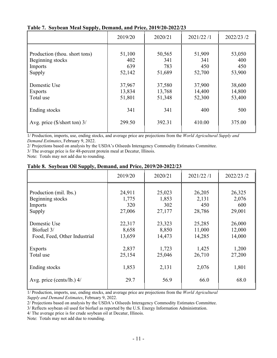| $\Box$                                                                        | 2019/20                        | 2020/21                        | 2021/22/1                      | 2022/23/2                      |
|-------------------------------------------------------------------------------|--------------------------------|--------------------------------|--------------------------------|--------------------------------|
| Production (thou. short tons)<br>Beginning stocks<br><b>Imports</b><br>Supply | 51,100<br>402<br>639<br>52,142 | 50,565<br>341<br>783<br>51,689 | 51,909<br>341<br>450<br>52,700 | 53,050<br>400<br>450<br>53,900 |
| Domestic Use<br>Exports<br>Total use                                          | 37,967<br>13,834<br>51,801     | 37,580<br>13,768<br>51,348     | 37,900<br>14,400<br>52,300     | 38,600<br>14,800<br>53,400     |
| Ending stocks                                                                 | 341                            | 341                            | 400                            | 500                            |
| Avg. price $(\frac{5}{\text{short ton}})$ 3/                                  | 299.50                         | 392.31                         | 410.00                         | 375.00                         |

**Table 7. Soybean Meal Supply, Demand, and Price, 2019/20-2022/23**

1/ Production, imports, use, ending stocks, and average price are projections from the *World Agricultural Supply and Demand Estimates*, February 9, 2022.

2/ Projections based on analysis by the USDA's Oilseeds Interagency Commodity Estimates Committee.

3/ The average price is for 48-percent protein meal at Decatur, Illinois.

Note: Totals may not add due to rounding.

|                              | 2019/20 | 2020/21 | 2021/22/1 | 2022/23 /2 |
|------------------------------|---------|---------|-----------|------------|
| Production (mil. lbs.)       | 24,911  | 25,023  | 26,205    | 26,325     |
| Beginning stocks             | 1,775   | 1,853   | 2,131     | 2,076      |
| Imports                      | 320     | 302     | 450       | 600        |
| Supply                       | 27,006  | 27,177  | 28,786    | 29,001     |
| Domestic Use                 | 22,317  | 23,323  | 25,285    | 26,000     |
| Biofuel 3/                   | 8,658   | 8,850   | 11,000    | 12,000     |
| Food, Feed, Other Industrial | 13,659  | 14,473  | 14,285    | 14,000     |
| <b>Exports</b>               | 2,837   | 1,723   | 1,425     | 1,200      |
| Total use                    | 25,154  | 25,046  | 26,710    | 27,200     |
| Ending stocks                | 1,853   | 2,131   | 2,076     | 1,801      |
| Avg. price (cents/lb.) 4/    | 29.7    | 56.9    | 66.0      | 68.0       |

1/ Production, imports, use, ending stocks, and average price are projections from the *World Agricultural Supply and Demand Estimates*, February 9, 2022.

2/ Projections based on analysis by the USDA's Oilseeds Interagency Commodity Estimates Committee.

3/ Reflects soybean oil used for biofuel as reported by the U.S. Energy Information Administration.

4/ The average price is for crude soybean oil at Decatur, Illinois.